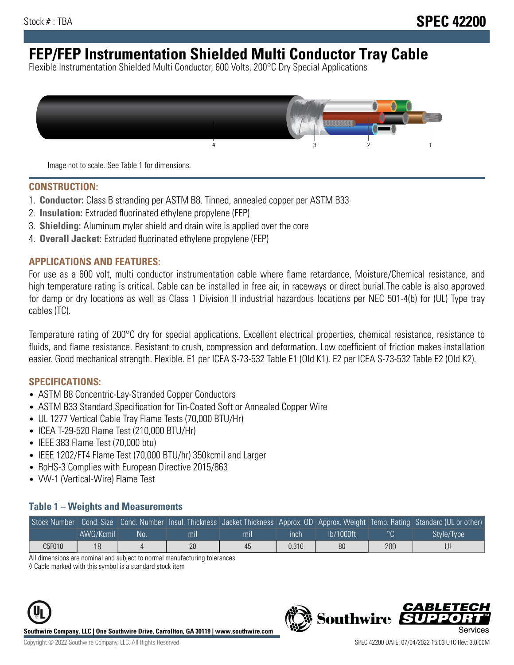# **FEP/FEP Instrumentation Shielded Multi Conductor Tray Cable**

Flexible Instrumentation Shielded Multi Conductor, 600 Volts, 200°C Dry Special Applications



Image not to scale. See Table 1 for dimensions.

#### **CONSTRUCTION:**

- 1. **Conductor:** Class B stranding per ASTM B8. Tinned, annealed copper per ASTM B33
- 2. **Insulation:** Extruded fluorinated ethylene propylene (FEP)
- 3. **Shielding:** Aluminum mylar shield and drain wire is applied over the core
- 4. **Overall Jacket:** Extruded fluorinated ethylene propylene (FEP)

#### **APPLICATIONS AND FEATURES:**

For use as a 600 volt, multi conductor instrumentation cable where flame retardance, Moisture/Chemical resistance, and high temperature rating is critical. Cable can be installed in free air, in raceways or direct burial.The cable is also approved for damp or dry locations as well as Class 1 Division II industrial hazardous locations per NEC 501-4(b) for (UL) Type tray cables (TC).

Temperature rating of 200°C dry for special applications. Excellent electrical properties, chemical resistance, resistance to fluids, and flame resistance. Resistant to crush, compression and deformation. Low coefficient of friction makes installation easier. Good mechanical strength. Flexible. E1 per ICEA S-73-532 Table E1 (Old K1). E2 per ICEA S-73-532 Table E2 (Old K2).

#### **SPECIFICATIONS:**

- ASTM B8 Concentric-Lay-Stranded Copper Conductors
- ASTM B33 Standard Specification for Tin-Coated Soft or Annealed Copper Wire
- UL 1277 Vertical Cable Tray Flame Tests (70,000 BTU/Hr)
- ICEA T-29-520 Flame Test (210,000 BTU/Hr)
- IEEE 383 Flame Test (70,000 btu)
- IEEE 1202/FT4 Flame Test (70,000 BTU/hr) 350kcmil and Larger
- RoHS-3 Complies with European Directive 2015/863
- VW-1 (Vertical-Wire) Flame Test

#### **Table 1 – Weights and Measurements**

|        |           |    |                |     |             |           |     | Stock Number Cond. Size Cond. Number Insul. Thickness Jacket Thickness Approx. OD Approx. Weight Temp. Rating Standard (UL or other) |
|--------|-----------|----|----------------|-----|-------------|-----------|-----|--------------------------------------------------------------------------------------------------------------------------------------|
|        | AWG/Kcmil | No | m <sub>l</sub> | mil | <b>inch</b> | Ib/1000ft |     | Style/Type                                                                                                                           |
| C5F010 | 18        |    | 20             | 45  | 0.310       | 80        | 200 |                                                                                                                                      |

All dimensions are nominal and subject to normal manufacturing tolerances

◊ Cable marked with this symbol is a standard stock item